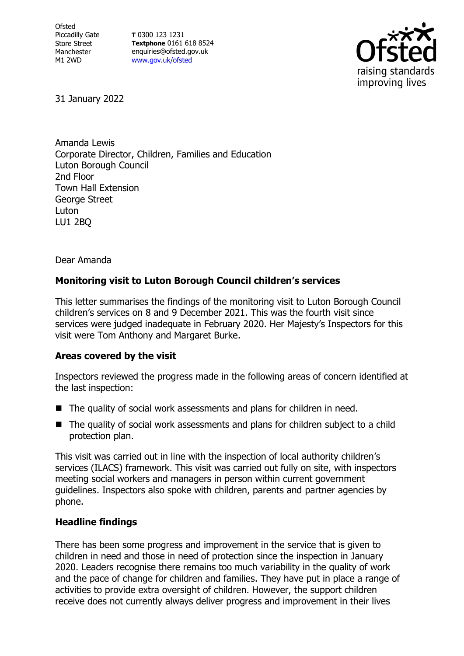**Ofsted** Piccadilly Gate Store Street Manchester M1 2WD

**T** 0300 123 1231 **Textphone** 0161 618 8524 enquiries@ofsted.gov.uk [www.gov.uk/ofsted](http://www.gov.uk/ofsted)



31 January 2022

Amanda Lewis Corporate Director, Children, Families and Education Luton Borough Council 2nd Floor Town Hall Extension George Street Luton LU1 2BQ

Dear Amanda

## **Monitoring visit to Luton Borough Council children's services**

This letter summarises the findings of the monitoring visit to Luton Borough Council children's services on 8 and 9 December 2021. This was the fourth visit since services were judged inadequate in February 2020. Her Majesty's Inspectors for this visit were Tom Anthony and Margaret Burke.

## **Areas covered by the visit**

Inspectors reviewed the progress made in the following areas of concern identified at the last inspection:

- The quality of social work assessments and plans for children in need.
- The quality of social work assessments and plans for children subject to a child protection plan.

This visit was carried out in line with the inspection of local authority children's services (ILACS) framework. This visit was carried out fully on site, with inspectors meeting social workers and managers in person within current government guidelines. Inspectors also spoke with children, parents and partner agencies by phone.

## **Headline findings**

There has been some progress and improvement in the service that is given to children in need and those in need of protection since the inspection in January 2020. Leaders recognise there remains too much variability in the quality of work and the pace of change for children and families. They have put in place a range of activities to provide extra oversight of children. However, the support children receive does not currently always deliver progress and improvement in their lives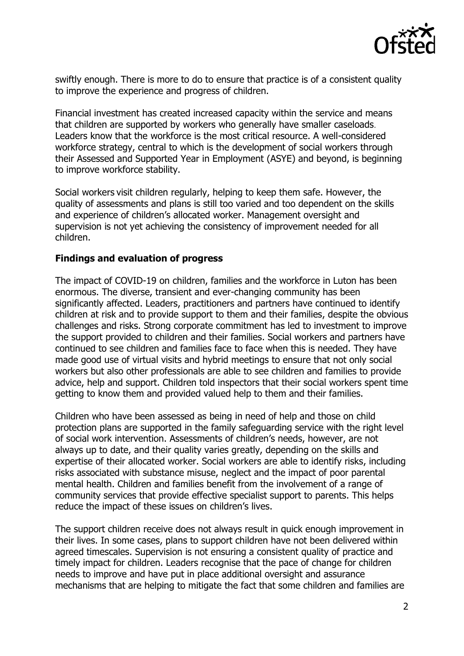

swiftly enough. There is more to do to ensure that practice is of a consistent quality to improve the experience and progress of children.

Financial investment has created increased capacity within the service and means that children are supported by workers who generally have smaller caseloads. Leaders know that the workforce is the most critical resource. A well-considered workforce strategy, central to which is the development of social workers through their Assessed and Supported Year in Employment (ASYE) and beyond, is beginning to improve workforce stability.

Social workers visit children regularly, helping to keep them safe. However, the quality of assessments and plans is still too varied and too dependent on the skills and experience of children's allocated worker. Management oversight and supervision is not yet achieving the consistency of improvement needed for all children.

## **Findings and evaluation of progress**

The impact of COVID-19 on children, families and the workforce in Luton has been enormous. The diverse, transient and ever-changing community has been significantly affected. Leaders, practitioners and partners have continued to identify children at risk and to provide support to them and their families, despite the obvious challenges and risks. Strong corporate commitment has led to investment to improve the support provided to children and their families. Social workers and partners have continued to see children and families face to face when this is needed. They have made good use of virtual visits and hybrid meetings to ensure that not only social workers but also other professionals are able to see children and families to provide advice, help and support. Children told inspectors that their social workers spent time getting to know them and provided valued help to them and their families.

Children who have been assessed as being in need of help and those on child protection plans are supported in the family safeguarding service with the right level of social work intervention. Assessments of children's needs, however, are not always up to date, and their quality varies greatly, depending on the skills and expertise of their allocated worker. Social workers are able to identify risks, including risks associated with substance misuse, neglect and the impact of poor parental mental health. Children and families benefit from the involvement of a range of community services that provide effective specialist support to parents. This helps reduce the impact of these issues on children's lives.

The support children receive does not always result in quick enough improvement in their lives. In some cases, plans to support children have not been delivered within agreed timescales. Supervision is not ensuring a consistent quality of practice and timely impact for children. Leaders recognise that the pace of change for children needs to improve and have put in place additional oversight and assurance mechanisms that are helping to mitigate the fact that some children and families are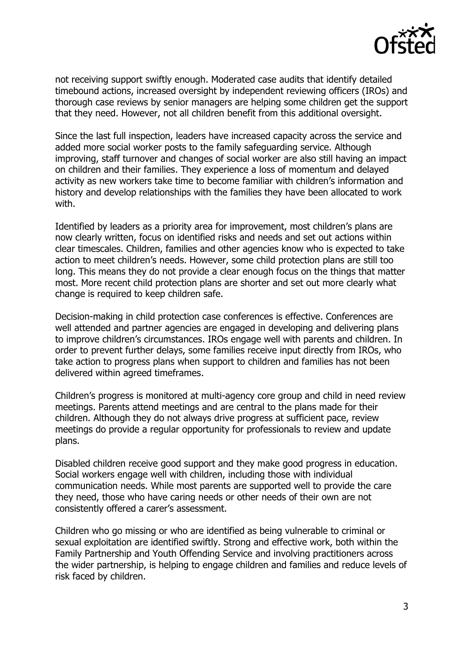

not receiving support swiftly enough. Moderated case audits that identify detailed timebound actions, increased oversight by independent reviewing officers (IROs) and thorough case reviews by senior managers are helping some children get the support that they need. However, not all children benefit from this additional oversight.

Since the last full inspection, leaders have increased capacity across the service and added more social worker posts to the family safeguarding service. Although improving, staff turnover and changes of social worker are also still having an impact on children and their families. They experience a loss of momentum and delayed activity as new workers take time to become familiar with children's information and history and develop relationships with the families they have been allocated to work with.

Identified by leaders as a priority area for improvement, most children's plans are now clearly written, focus on identified risks and needs and set out actions within clear timescales. Children, families and other agencies know who is expected to take action to meet children's needs. However, some child protection plans are still too long. This means they do not provide a clear enough focus on the things that matter most. More recent child protection plans are shorter and set out more clearly what change is required to keep children safe.

Decision-making in child protection case conferences is effective. Conferences are well attended and partner agencies are engaged in developing and delivering plans to improve children's circumstances. IROs engage well with parents and children. In order to prevent further delays, some families receive input directly from IROs, who take action to progress plans when support to children and families has not been delivered within agreed timeframes.

Children's progress is monitored at multi-agency core group and child in need review meetings. Parents attend meetings and are central to the plans made for their children. Although they do not always drive progress at sufficient pace, review meetings do provide a regular opportunity for professionals to review and update plans.

Disabled children receive good support and they make good progress in education. Social workers engage well with children, including those with individual communication needs. While most parents are supported well to provide the care they need, those who have caring needs or other needs of their own are not consistently offered a carer's assessment.

Children who go missing or who are identified as being vulnerable to criminal or sexual exploitation are identified swiftly. Strong and effective work, both within the Family Partnership and Youth Offending Service and involving practitioners across the wider partnership, is helping to engage children and families and reduce levels of risk faced by children.